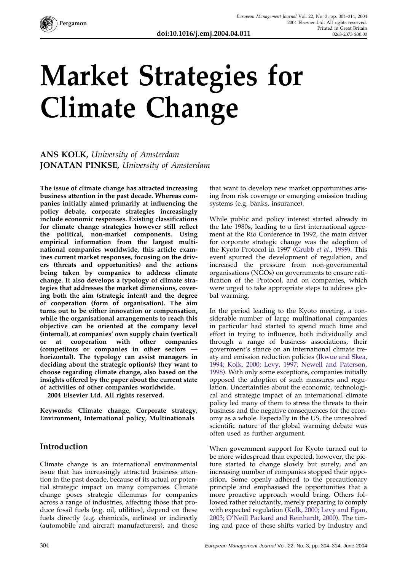# **Market Strategies for Climate Change**

### **ANS KOLK,** *University of Amsterdam* **JONATAN PINKSE,** *University of Amsterdam*

**The issue of climate change has attracted increasing business attention in the past decade. Whereas companies initially aimed primarily at influencing the policy debate, corporate strategies increasingly include economic responses. Existing classifications for climate change strategies however still reflect the political, non-market components. Using empirical information from the largest multinational companies worldwide, this article examines current market responses, focusing on the drivers (threats and opportunities) and the actions being taken by companies to address climate change. It also develops a typology of climate strategies that addresses the market dimensions, covering both the aim (strategic intent) and the degree of cooperation (form of organisation). The aim turns out to be either innovation or compensation, while the organisational arrangements to reach this objective can be oriented at the company level (internal), at companies' own supply chain (vertical) or at cooperation with other companies (competitors or companies in other sectors horizontal). The typology can assist managers in deciding about the strategic option(s) they want to choose regarding climate change, also based on the insights offered by the paper about the current state of activities of other companies worldwide. 2004 Elsevier Ltd. All rights reserved.**

**Keywords: Climate change**, **Corporate strategy**, **Environment**, **International policy**, **Multinationals**

#### **Introduction**

Climate change is an international environmental issue that has increasingly attracted business attention in the past decade, because of its actual or potential strategic impact on many companies. Climate change poses strategic dilemmas for companies across a range of industries, affecting those that produce fossil fuels (e.g. oil, utilities), depend on these fuels directly (e.g. chemicals, airlines) or indirectly (automobile and aircraft manufacturers), and those

that want to develop new market opportunities arising from risk coverage or emerging emission trading systems (e.g. banks, insurance).

While public and policy interest started already in the late 1980s, leading to a first international agreement at the Rio Conference in 1992, the main driver for corporate strategic change was the adoption of the Kyoto Protocol in 1997 [\(Grubb](#page--1-0) *et al*., 1999). This event spurred the development of regulation, and increased the pressure from non-governmental organisations (NGOs) on governments to ensure ratification of the Protocol, and on companies, which were urged to take appropriate steps to address global warming.

In the period leading to the Kyoto meeting, a considerable number of large multinational companies in particular had started to spend much time and effort in trying to influence, both individually and through a range of business associations, their government's stance on an international climate treaty and emission reduction policies [\(Ikwue and Skea,](#page--1-0) [1994; Kolk, 2000; Levy, 1997; Newell and Paterson,](#page--1-0) [1998\)](#page--1-0). With only some exceptions, companies initially opposed the adoption of such measures and regulation. Uncertainties about the economic, technological and strategic impact of an international climate policy led many of them to stress the threats to their business and the negative consequences for the economy as a whole. Especially in the US, the unresolved scientific nature of the global warming debate was often used as further argument.

When government support for Kyoto turned out to be more widespread than expected, however, the picture started to change slowly but surely, and an increasing number of companies stopped their opposition. Some openly adhered to the precautionary principle and emphasised the opportunities that a more proactive approach would bring. Others followed rather reluctantly, merely preparing to comply with expected regulation [\(Kolk, 2000; Levy and Egan,](#page--1-0) [2003; O'Neill Packard and Reinhardt, 2000\)](#page--1-0). The timing and pace of these shifts varied by industry and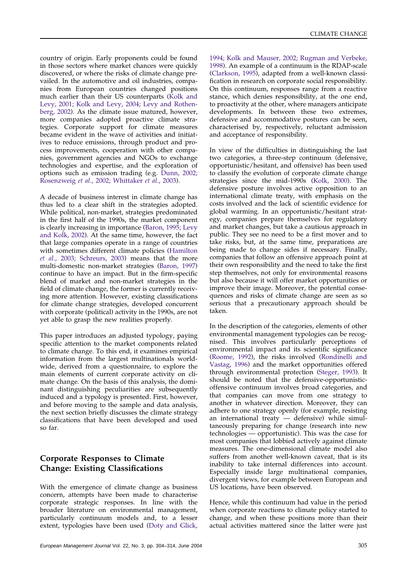country of origin. Early proponents could be found in those sectors where market chances were quickly discovered, or where the risks of climate change prevailed. In the automotive and oil industries, companies from European countries changed positions much earlier than their US counterparts [\(Kolk and](#page--1-0) [Levy, 2001; Kolk and Levy, 2004; Levy and Rothen](#page--1-0)[berg, 2002\)](#page--1-0). As the climate issue matured, however, more companies adopted proactive climate strategies. Corporate support for climate measures became evident in the wave of activities and initiatives to reduce emissions, through product and process improvements, cooperation with other companies, government agencies and NGOs to exchange technologies and expertise, and the exploration of options such as emission trading (e.g. [Dunn, 2002;](#page--1-0) Rosenzweig *et al*[., 2002; Whittaker](#page--1-0) *et al*., 2003).

A decade of business interest in climate change has thus led to a clear shift in the strategies adopted. While political, non-market, strategies predominated in the first half of the 1990s, the market component is clearly increasing in importance [\(Baron, 1995; Levy](#page--1-0) [and Kolk, 2002\)](#page--1-0). At the same time, however, the fact that large companies operate in a range of countries with sometimes different climate policies [\(Hamilton](#page--1-0) *et al*[., 2003; Schreurs, 2003\)](#page--1-0) means that the more multi-domestic non-market strategies [\(Baron, 1997\)](#page--1-0) continue to have an impact. But in the firm-specific blend of market and non-market strategies in the field of climate change, the former is currently receiving more attention. However, existing classifications for climate change strategies, developed concurrent with corporate (political) activity in the 1990s, are not yet able to grasp the new realities properly.

This paper introduces an adjusted typology, paying specific attention to the market components related to climate change. To this end, it examines empirical information from the largest multinationals worldwide, derived from a questionnaire, to explore the main elements of current corporate activity on climate change. On the basis of this analysis, the dominant distinguishing peculiarities are subsequently induced and a typology is presented. First, however, and before moving to the sample and data analysis, the next section briefly discusses the climate strategy classifications that have been developed and used so far.

#### **Corporate Responses to Climate Change: Existing Classifications**

With the emergence of climate change as business concern, attempts have been made to characterise corporate strategic responses. In line with the broader literature on environmental management, particularly continuum models and, to a lesser extent, typologies have been used [\(Doty and Glick,](#page--1-0)

[1994; Kolk and Mauser, 2002; Rugman and Verbeke,](#page--1-0) [1998\)](#page--1-0). An example of a continuum is the RDAP-scale [\(Clarkson, 1995\)](#page--1-0), adapted from a well-known classification in research on corporate social responsibility. On this continuum, responses range from a reactive stance, which denies responsibility, at the one end, to proactivity at the other, where managers anticipate developments. In between these two extremes, defensive and accommodative postures can be seen, characterised by, respectively, reluctant admission and acceptance of responsibility.

In view of the difficulties in distinguishing the last two categories, a three-step continuum (defensive, opportunistic/hesitant, and offensive) has been used to classify the evolution of corporate climate change strategies since the mid-1990s [\(Kolk, 2000\)](#page--1-0). The defensive posture involves active opposition to an international climate treaty, with emphasis on the costs involved and the lack of scientific evidence for global warming. In an opportunistic/hesitant strategy, companies prepare themselves for regulatory and market changes, but take a cautious approach in public. They see no need to be a first mover and to take risks, but, at the same time, preparations are being made to change sides if necessary. Finally, companies that follow an offensive approach point at their own responsibility and the need to take the first step themselves, not only for environmental reasons but also because it will offer market opportunities or improve their image. Moreover, the potential consequences and risks of climate change are seen as so serious that a precautionary approach should be taken.

In the description of the categories, elements of other environmental management typologies can be recognised. This involves particularly perceptions of environmental impact and its scientific significance [\(Roome, 1992\)](#page--1-0), the risks involved [\(Rondinelli and](#page--1-0) [Vastag, 1996\)](#page--1-0) and the market opportunities offered through environmental protection [\(Steger, 1993\)](#page--1-0). It should be noted that the defensive-opportunisticoffensive continuum involves broad categories, and that companies can move from one strategy to another in whatever direction. Moreover, they can adhere to one strategy openly (for example, resisting an international treaty — defensive) while simultaneously preparing for change (research into new technologies — opportunistic). This was the case for most companies that lobbied actively against climate measures. The one-dimensional climate model also suffers from another well-known caveat, that is its inability to take internal differences into account. Especially inside large multinational companies, divergent views, for example between European and US locations, have been observed.

Hence, while this continuum had value in the period when corporate reactions to climate policy started to change, and when these positions more than their actual activities mattered since the latter were just